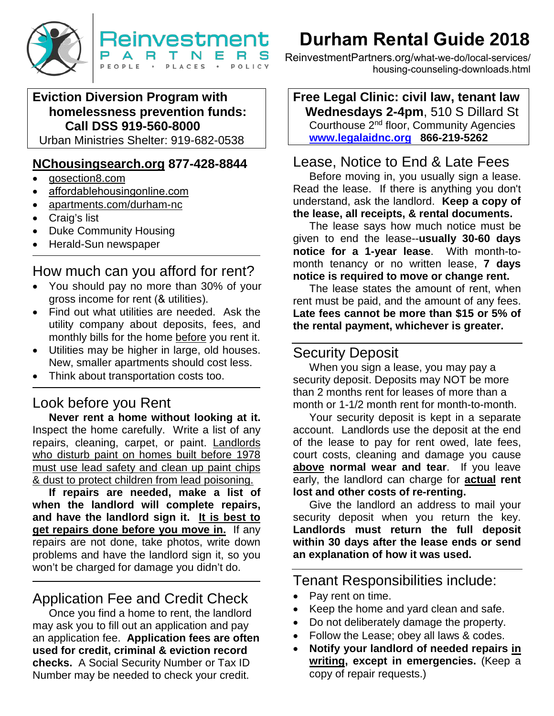

# **Eviction Diversion Program with homelessness prevention funds: Call DSS 919-560-8000**

Urban Ministries Shelter: 919-682-0538

### **[NChousingsearch.org](http://www.nchousingsearch.org/) 877-428-8844**

- [gosection8.com](http://www.gosection8.com/)
- affordablehousingonline.com
- apartments.com/durham-nc
- Craig's list
- Duke Community Housing
- Herald-Sun newspaper

# How much can you afford for rent?

- You should pay no more than 30% of your gross income for rent (& utilities).
- Find out what utilities are needed. Ask the utility company about deposits, fees, and monthly bills for the home before you rent it.
- Utilities may be higher in large, old houses. New, smaller apartments should cost less.
- Think about transportation costs too.

# Look before you Rent

**Never rent a home without looking at it.**  Inspect the home carefully. Write a list of any repairs, cleaning, carpet, or paint. Landlords who disturb paint on homes built before 1978 must use lead safety and clean up paint chips & dust to protect children from lead poisoning.

**If repairs are needed, make a list of when the landlord will complete repairs, and have the landlord sign it. It is best to get repairs done before you move in.** If any repairs are not done, take photos, write down problems and have the landlord sign it, so you won't be charged for damage you didn't do.

# Application Fee and Credit Check

 Once you find a home to rent, the landlord may ask you to fill out an application and pay an application fee. **Application fees are often used for credit, criminal & eviction record checks.** A Social Security Number or Tax ID Number may be needed to check your credit.

# **Durham Rental Guide 2018**

ReinvestmentPartners.org/what-we-do/local-services/ housing-counseling-downloads.html

**Free Legal Clinic: civil law, tenant law Wednesdays 2-4pm**, 510 S Dillard St Courthouse 2nd floor, Community Agencies **[www.legalaidnc.org](http://www.legalaidnc.org/) 866-219-5262**

# Lease, Notice to End & Late Fees

Before moving in, you usually sign a lease. Read the lease. If there is anything you don't understand, ask the landlord. **Keep a copy of the lease, all receipts, & rental documents.**

The lease says how much notice must be given to end the lease--**usually 30-60 days notice for a 1-year lease**. With month-tomonth tenancy or no written lease, **7 days notice is required to move or change rent.** 

The lease states the amount of rent, when rent must be paid, and the amount of any fees. **Late fees cannot be more than \$15 or 5% of the rental payment, whichever is greater.** 

# Security Deposit

When you sign a lease, you may pay a security deposit. Deposits may NOT be more than 2 months rent for leases of more than a month or 1-1/2 month rent for month-to-month.

Your security deposit is kept in a separate account. Landlords use the deposit at the end of the lease to pay for rent owed, late fees, court costs, cleaning and damage you cause **above normal wear and tear**. If you leave early, the landlord can charge for **actual rent lost and other costs of re-renting.** 

Give the landlord an address to mail your security deposit when you return the key. **Landlords must return the full deposit within 30 days after the lease ends or send an explanation of how it was used.** 

Tenant Responsibilities include:

- Pay rent on time.
- Keep the home and yard clean and safe.
- Do not deliberately damage the property.
- Follow the Lease; obey all laws & codes.
- **Notify your landlord of needed repairs in writing, except in emergencies.** (Keep a copy of repair requests.)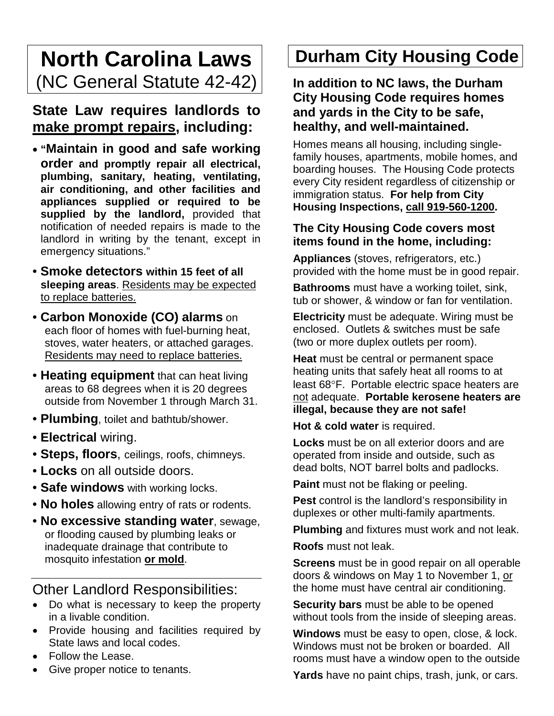# **North Carolina Laws** (NC General Statute 42-42)

# **State Law requires landlords to make prompt repairs, including:**

- **"Maintain in good and safe working order and promptly repair all electrical, plumbing, sanitary, heating, ventilating, air conditioning, and other facilities and appliances supplied or required to be supplied by the landlord,** provided that notification of needed repairs is made to the landlord in writing by the tenant, except in emergency situations."
- **Smoke detectors within 15 feet of all sleeping areas**. Residents may be expected to replace batteries.
- **Carbon Monoxide (CO) alarms** on each floor of homes with fuel-burning heat, stoves, water heaters, or attached garages. Residents may need to replace batteries.
- **Heating equipment** that can heat living areas to 68 degrees when it is 20 degrees outside from November 1 through March 31.
- **Plumbing**, toilet and bathtub/shower.
- **Electrical** wiring.
- **Steps, floors**, ceilings, roofs, chimneys.
- **Locks** on all outside doors.
- **Safe windows** with working locks.
- **No holes** allowing entry of rats or rodents.
- **No excessive standing water**, sewage, or flooding caused by plumbing leaks or inadequate drainage that contribute to mosquito infestation **or mold**.

# Other Landlord Responsibilities:

- Do what is necessary to keep the property in a livable condition.
- Provide housing and facilities required by State laws and local codes.
- Follow the Lease.
- Give proper notice to tenants.

# **Durham City Housing Code**

**In addition to NC laws, the Durham City Housing Code requires homes and yards in the City to be safe, healthy, and well-maintained.**

Homes means all housing, including singlefamily houses, apartments, mobile homes, and boarding houses. The Housing Code protects every City resident regardless of citizenship or immigration status. **For help from City Housing Inspections, call 919-560-1200.** 

### **The City Housing Code covers most items found in the home, including:**

**Appliances** (stoves, refrigerators, etc.) provided with the home must be in good repair.

**Bathrooms** must have a working toilet, sink, tub or shower, & window or fan for ventilation.

**Electricity** must be adequate. Wiring must be enclosed. Outlets & switches must be safe (two or more duplex outlets per room).

**Heat** must be central or permanent space heating units that safely heat all rooms to at least 68°F. Portable electric space heaters are not adequate. **Portable kerosene heaters are illegal, because they are not safe!**

**Hot & cold water** is required.

**Locks** must be on all exterior doors and are operated from inside and outside, such as dead bolts, NOT barrel bolts and padlocks.

**Paint** must not be flaking or peeling.

**Pest** control is the landlord's responsibility in duplexes or other multi-family apartments.

**Plumbing** and fixtures must work and not leak.

**Roofs** must not leak.

**Screens** must be in good repair on all operable doors & windows on May 1 to November 1, or the home must have central air conditioning.

**Security bars** must be able to be opened without tools from the inside of sleeping areas.

**Windows** must be easy to open, close, & lock. Windows must not be broken or boarded. All rooms must have a window open to the outside

**Yards** have no paint chips, trash, junk, or cars.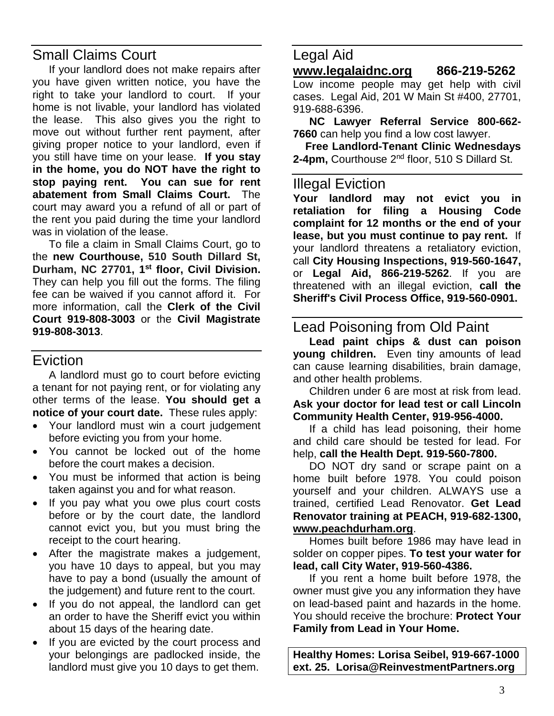# Small Claims Court

If your landlord does not make repairs after you have given written notice, you have the right to take your landlord to court. If your home is not livable, your landlord has violated the lease. This also gives you the right to move out without further rent payment, after giving proper notice to your landlord, even if you still have time on your lease. **If you stay in the home, you do NOT have the right to stop paying rent. You can sue for rent abatement from Small Claims Court.** The court may award you a refund of all or part of the rent you paid during the time your landlord was in violation of the lease.

To file a claim in Small Claims Court, go to the **new Courthouse, 510 South Dillard St, Durham, NC 27701, 1st floor, Civil Division.**  They can help you fill out the forms. The filing fee can be waived if you cannot afford it. For more information, call the **Clerk of the Civil Court 919-808-3003** or the **Civil Magistrate 919-808-3013**.

# Eviction

A landlord must go to court before evicting a tenant for not paying rent, or for violating any other terms of the lease. **You should get a notice of your court date.** These rules apply:

- Your landlord must win a court judgement before evicting you from your home.
- You cannot be locked out of the home before the court makes a decision.
- You must be informed that action is being taken against you and for what reason.
- If you pay what you owe plus court costs before or by the court date, the landlord cannot evict you, but you must bring the receipt to the court hearing.
- After the magistrate makes a judgement, you have 10 days to appeal, but you may have to pay a bond (usually the amount of the judgement) and future rent to the court.
- If you do not appeal, the landlord can get an order to have the Sheriff evict you within about 15 days of the hearing date.
- If you are evicted by the court process and your belongings are padlocked inside, the landlord must give you 10 days to get them.

# Legal Aid

### **[www.legalaidnc.org](http://www.legalaidnc.org/) 866-219-5262**

Low income people may get help with civil cases. Legal Aid, 201 W Main St #400, 27701, 919-688-6396.

**NC Lawyer Referral Service 800-662- 7660** can help you find a low cost lawyer.

**Free Landlord-Tenant Clinic Wednesdays 2-4pm,** Courthouse 2nd floor, 510 S Dillard St.

### Illegal Eviction

**Your landlord may not evict you in retaliation for filing a Housing Code complaint for 12 months or the end of your lease, but you must continue to pay rent.** If your landlord threatens a retaliatory eviction, call **City Housing Inspections, 919-560-1647,**  or **Legal Aid, 866-219-5262**. If you are threatened with an illegal eviction, **call the Sheriff's Civil Process Office, 919-560-0901.**

### Lead Poisoning from Old Paint

**Lead paint chips & dust can poison young children.** Even tiny amounts of lead can cause learning disabilities, brain damage, and other health problems.

Children under 6 are most at risk from lead. **Ask your doctor for lead test or call Lincoln Community Health Center, 919-956-4000.** 

If a child has lead poisoning, their home and child care should be tested for lead. For help, **call the Health Dept. 919-560-7800.** 

DO NOT dry sand or scrape paint on a home built before 1978. You could poison yourself and your children. ALWAYS use a trained, certified Lead Renovator. **Get Lead Renovator training at PEACH, 919-682-1300, www.peachdurham.org**.

Homes built before 1986 may have lead in solder on copper pipes. **To test your water for lead, call City Water, 919-560-4386.** 

If you rent a home built before 1978, the owner must give you any information they have on lead-based paint and hazards in the home. You should receive the brochure: **Protect Your Family from Lead in Your Home.** 

**Healthy Homes: Lorisa Seibel, 919-667-1000 ext. 25. Lorisa@ReinvestmentPartners.org**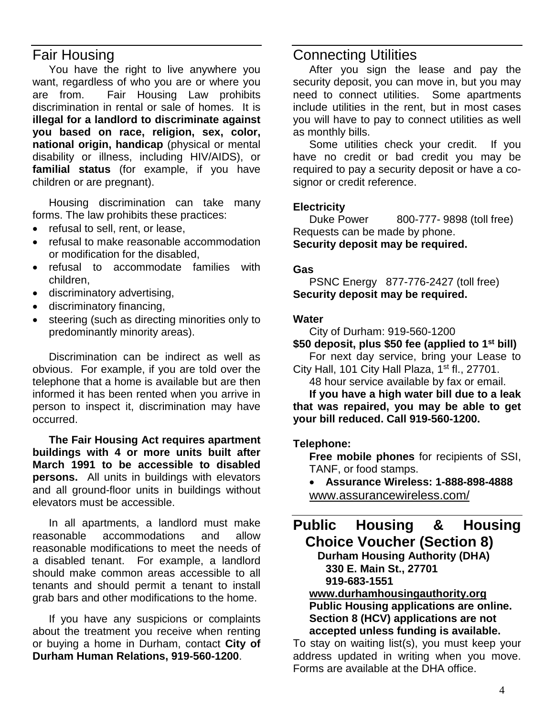### Fair Housing

You have the right to live anywhere you want, regardless of who you are or where you are from. Fair Housing Law prohibits discrimination in rental or sale of homes. It is **illegal for a landlord to discriminate against you based on race, religion, sex, color, national origin, handicap** (physical or mental disability or illness, including HIV/AIDS), or **familial status** (for example, if you have children or are pregnant).

Housing discrimination can take many forms. The law prohibits these practices:

- refusal to sell, rent, or lease,
- refusal to make reasonable accommodation or modification for the disabled,
- refusal to accommodate families with children,
- discriminatory advertising,
- discriminatory financing,
- steering (such as directing minorities only to predominantly minority areas).

Discrimination can be indirect as well as obvious. For example, if you are told over the telephone that a home is available but are then informed it has been rented when you arrive in person to inspect it, discrimination may have occurred.

**The Fair Housing Act requires apartment buildings with 4 or more units built after March 1991 to be accessible to disabled persons.** All units in buildings with elevators and all ground-floor units in buildings without elevators must be accessible.

In all apartments, a landlord must make reasonable accommodations and allow reasonable modifications to meet the needs of a disabled tenant. For example, a landlord should make common areas accessible to all tenants and should permit a tenant to install grab bars and other modifications to the home.

If you have any suspicions or complaints about the treatment you receive when renting or buying a home in Durham, contact **City of Durham Human Relations, 919-560-1200**.

### Connecting Utilities

After you sign the lease and pay the security deposit, you can move in, but you may need to connect utilities. Some apartments include utilities in the rent, but in most cases you will have to pay to connect utilities as well as monthly bills.

Some utilities check your credit. If you have no credit or bad credit you may be required to pay a security deposit or have a cosignor or credit reference.

**Electricity** 800-777- 9898 (toll free) Requests can be made by phone. **Security deposit may be required.**

#### **Gas**

PSNC Energy 877-776-2427 (toll free) **Security deposit may be required.**

#### **Water**

City of Durham: 919-560-1200

**\$50 deposit, plus \$50 fee (applied to 1st bill)** For next day service, bring your Lease to

City Hall, 101 City Hall Plaza, 1<sup>st</sup> fl., 27701. 48 hour service available by fax or email.

**If you have a high water bill due to a leak that was repaired, you may be able to get your bill reduced. Call 919-560-1200.** 

#### **Telephone:**

**Free mobile phones** for recipients of SSI, TANF, or food stamps.

• **Assurance Wireless: 1-888-898-4888** www.assurancewireless.com/

# **Public Housing & Housing Choice Voucher (Section 8)**

**Durham Housing Authority (DHA) 330 E. Main St., 27701 919-683-1551**

#### **[www.durhamhousingauthority.org](http://www.durhamhousingauthority.org/) Public Housing applications are online. Section 8 (HCV) applications are not accepted unless funding is available.**

To stay on waiting list(s), you must keep your address updated in writing when you move. Forms are available at the DHA office.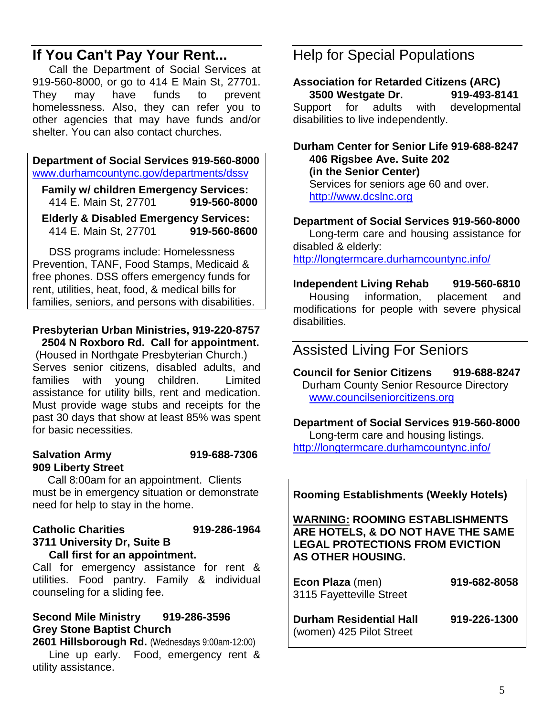# **If You Can't Pay Your Rent...**

Call the Department of Social Services at 919-560-8000, or go to 414 E Main St, 27701. They may have funds to prevent homelessness. Also, they can refer you to other agencies that may have funds and/or shelter. You can also contact churches.

#### **Department of Social Services 919-560-8000** [www.durhamcountync.gov/departments/dssv](http://www.durhamcountync.gov/departments/dssv)

 **Family w/ children Emergency Services:** 414 E. Main St, 27701 **919-560-8000**

 **Elderly & Disabled Emergency Services:** 414 E. Main St. 27701

DSS programs include: Homelessness Prevention, TANF, Food Stamps, Medicaid & free phones. DSS offers emergency funds for rent, utilities, heat, food, & medical bills for families, seniors, and persons with disabilities.

#### **Presbyterian Urban Ministries, 919-220-8757 2504 N Roxboro Rd. Call for appointment.**

(Housed in Northgate Presbyterian Church.) Serves senior citizens, disabled adults, and families with young children. Limited assistance for utility bills, rent and medication. Must provide wage stubs and receipts for the past 30 days that show at least 85% was spent for basic necessities.

#### **Salvation Army 919-688-7306 909 Liberty Street**

Call 8:00am for an appointment. Clients must be in emergency situation or demonstrate need for help to stay in the home.

#### **Catholic Charities 919-286-1964 3711 University Dr, Suite B**

#### **Call first for an appointment.**

Call for emergency assistance for rent & utilities. Food pantry. Family & individual counseling for a sliding fee.

#### **Second Mile Ministry 919-286-3596 Grey Stone Baptist Church**

**2601 Hillsborough Rd.** (Wednesdays 9:00am-12:00) Line up early. Food, emergency rent & utility assistance.

# Help for Special Populations

**Association for Retarded Citizens (ARC) 3500 Westgate Dr.** Support for adults with developmental disabilities to live independently.

#### **Durham Center for Senior Life 919-688-8247 406 Rigsbee Ave. Suite 202 (in the Senior Center)** Services for seniors age 60 and over. http://www.dcslnc.org

#### **Department of Social Services 919-560-8000**

Long-term care and housing assistance for disabled & elderly: <http://longtermcare.durhamcountync.info/>

**Independent Living Rehab 919-560-6810** Housing information, placement and modifications for people with severe physical disabilities.

## Assisted Living For Seniors

**Council for Senior Citizens 919-688-8247** Durham County Senior Resource Directory [www.councilseniorcitizens.org](http://www.councilseniorcitizens.org/)

#### **Department of Social Services 919-560-8000** Long-term care and housing listings.

<http://longtermcare.durhamcountync.info/>

**Rooming Establishments (Weekly Hotels)**

#### **WARNING: ROOMING ESTABLISHMENTS ARE HOTELS, & DO NOT HAVE THE SAME LEGAL PROTECTIONS FROM EVICTION AS OTHER HOUSING.**

| Econ Plaza (men)<br>3115 Fayetteville Street               | 919-682-8058 |
|------------------------------------------------------------|--------------|
| <b>Durham Residential Hall</b><br>(women) 425 Pilot Street | 919-226-1300 |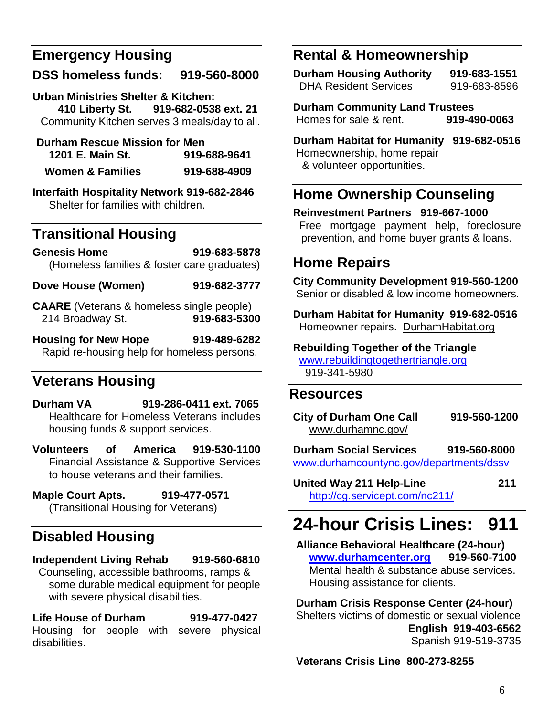# **Emergency Housing**

# **DSS homeless funds: 919-560-8000**

**Urban Ministries Shelter & Kitchen: 410 Liberty St. 919-682-0538 ext. 21** Community Kitchen serves 3 meals/day to all.

| <b>Durham Rescue Mission for Men</b> |              |
|--------------------------------------|--------------|
| 1201 E. Main St.                     | 919-688-9641 |
| <b>Women &amp; Families</b>          | 919-688-4909 |

**Interfaith Hospitality Network 919-682-2846** Shelter for families with children.

# **Transitional Housing**

**Genesis Home 919-683-5878** (Homeless families & foster care graduates)

**Dove House (Women) 919-682-3777**

**CAARE** (Veterans & homeless single people) 214 Broadway St. **919-683-5300**

**Housing for New Hope 919-489-6282** Rapid re-housing help for homeless persons.

# **Veterans Housing**

**Durham VA 919-286-0411 ext. 7065**  Healthcare for Homeless Veterans includes housing funds & support services.

**Volunteers of America 919-530-1100** Financial Assistance & Supportive Services to house veterans and their families.

**Maple Court Apts. 919-477-0571** (Transitional Housing for Veterans)

# **Disabled Housing**

## **Independent Living Rehab 919-560-6810**

 Counseling, accessible bathrooms, ramps & some durable medical equipment for people with severe physical disabilities.

**Life House of Durham 919-477-0427** Housing for people with severe physical disabilities.

# **Rental & Homeownership**

**Durham Housing Authority 919-683-1551** DHA Resident Services 919-683-8596

**Durham Community Land Trustees** Homes for sale & rent. **919-490-0063**

**Durham Habitat for Humanity 919-682-0516**  Homeownership, home repair & volunteer opportunities.

# **Home Ownership Counseling**

**Reinvestment Partners 919-667-1000** Free mortgage payment help, foreclosure prevention, and home buyer grants & loans.

# **Home Repairs**

**City Community Development 919-560-1200** Senior or disabled & low income homeowners.

**Durham Habitat for Humanity 919-682-0516** Homeowner repairs. DurhamHabitat.org

**Rebuilding Together of the Triangle** [www.rebuildingtogethertriangle.org](http://www.rebuildingtogethertriangle.org/)

919-341-5980

# **Resources**

| <b>City of Durham One Call</b> | 919-560-1200 |
|--------------------------------|--------------|
| www.durhamnc.gov/              |              |

**Durham Social Services 919-560-8000** [www.durhamcountync.gov/departments/dssv](http://www.durhamcountync.gov/departments/dssv)

**United Way 211 Help-Line 211** <http://cg.servicept.com/nc211/>

# **24-hour Crisis Lines: 911**

**Alliance Behavioral Healthcare (24-hour) [www.durhamcenter.org](http://www.durhamcenter.org/) 919-560-7100** Mental health & substance abuse services. Housing assistance for clients.

**Durham Crisis Response Center (24-hour)**  Shelters victims of domestic or sexual violence **English 919-403-6562** Spanish 919-519-3735

**Veterans Crisis Line 800-273-8255**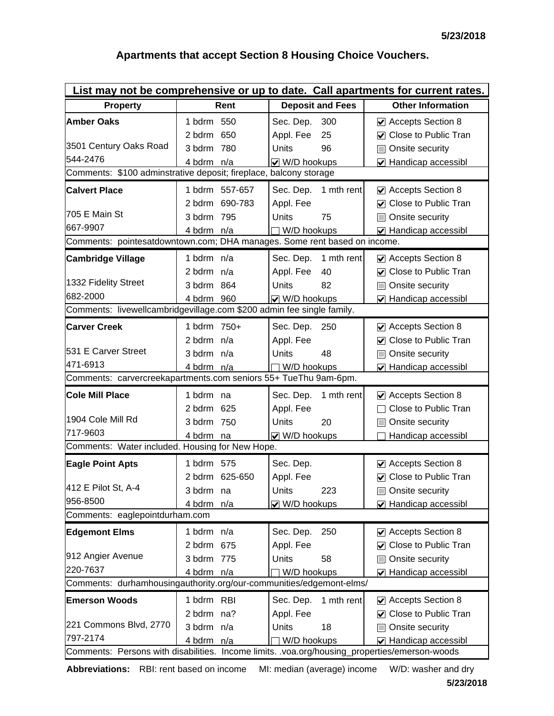### **Apartments that accept Section 8 Housing Choice Vouchers.**

| List may not be comprehensive or up to date. Call apartments for current rates.               |                |                         |                                     |  |  |  |
|-----------------------------------------------------------------------------------------------|----------------|-------------------------|-------------------------------------|--|--|--|
| <b>Property</b>                                                                               | Rent           | <b>Deposit and Fees</b> | <b>Other Information</b>            |  |  |  |
| <b>Amber Oaks</b>                                                                             | 1 bdrm 550     | Sec. Dep.<br>300        | ☑ Accepts Section 8                 |  |  |  |
|                                                                                               | 2 bdrm 650     | Appl. Fee<br>25         | <b>○</b> Close to Public Tran       |  |  |  |
| 3501 Century Oaks Road                                                                        | 3 bdrm 780     | Units<br>96             | Onsite security                     |  |  |  |
| 544-2476                                                                                      | 4 bdrm n/a     | $\vee$ W/D hookups      | ☑ Handicap accessibl                |  |  |  |
| Comments: \$100 adminstrative deposit; fireplace, balcony storage                             |                |                         |                                     |  |  |  |
| <b>Calvert Place</b>                                                                          | 1 bdrm 557-657 | Sec. Dep.<br>1 mth rent | ☑ Accepts Section 8                 |  |  |  |
|                                                                                               | 2 bdrm 690-783 | Appl. Fee               | <b>☑</b> Close to Public Tran       |  |  |  |
| 705 E Main St                                                                                 | 3 bdrm 795     | Units<br>75             | Onsite security                     |  |  |  |
| 667-9907                                                                                      | 4 bdrm n/a     | W/D hookups             | ☑ Handicap accessibl                |  |  |  |
| Comments: pointesatdowntown.com; DHA manages. Some rent based on income.                      |                |                         |                                     |  |  |  |
| <b>Cambridge Village</b>                                                                      | 1 bdrm n/a     | 1 mth rent<br>Sec. Dep. | $\vee$ Accepts Section 8            |  |  |  |
|                                                                                               | 2 bdrm $n/a$   | Appl. Fee<br>40         | <b>☑</b> Close to Public Tran       |  |  |  |
| 1332 Fidelity Street                                                                          | 3 bdrm 864     | Units<br>82             | Onsite security<br>I                |  |  |  |
| 682-2000                                                                                      | 4 bdrm 960     | ☑ W/D hookups           | ☑ Handicap accessibl                |  |  |  |
| Comments: livewellcambridgevillage.com \$200 admin fee single family.                         |                |                         |                                     |  |  |  |
| <b>Carver Creek</b>                                                                           | 1 bdrm 750+    | Sec. Dep.<br>250        | $\triangleright$ Accepts Section 8  |  |  |  |
|                                                                                               | 2 bdrm $n/a$   | Appl. Fee               | ☑ Close to Public Tran              |  |  |  |
| 531 E Carver Street                                                                           | 3 bdrm n/a     | Units<br>48             | Onsite security<br>П                |  |  |  |
| 471-6913                                                                                      | 4 bdrm n/a     | W/D hookups             | $\triangleright$ Handicap accessibl |  |  |  |
| Comments: carvercreekapartments.com seniors 55+ TueThu 9am-6pm.                               |                |                         |                                     |  |  |  |
| <b>Cole Mill Place</b>                                                                        | 1 bdrm na      | Sec. Dep.<br>1 mth rent | ☑ Accepts Section 8                 |  |  |  |
|                                                                                               | 2 bdrm 625     | Appl. Fee               | Close to Public Tran                |  |  |  |
| 1904 Cole Mill Rd                                                                             | 3 bdrm 750     | Units<br>20             | Onsite security                     |  |  |  |
| 717-9603                                                                                      | 4 bdrm na      | ☑ W/D hookups           | Handicap accessibl                  |  |  |  |
| Comments: Water included. Housing for New Hope.                                               |                |                         |                                     |  |  |  |
| <b>Eagle Point Apts</b>                                                                       | 1 bdrm 575     | Sec. Dep.               | ☑ Accepts Section 8                 |  |  |  |
|                                                                                               | 2 bdrm 625-650 | Appl. Fee               | <b>☑</b> Close to Public Tran       |  |  |  |
| 412 E Pilot St, A-4                                                                           | 3 bdrm na      | Units<br>223            | <b>□ Onsite security</b>            |  |  |  |
| 956-8500                                                                                      | 4 bdrm n/a     | V W/D hookups           | ☑ Handicap accessibl                |  |  |  |
| Comments: eaglepointdurham.com                                                                |                |                         |                                     |  |  |  |
| <b>Edgemont Elms</b>                                                                          | 1 bdrm n/a     | Sec. Dep.<br>250        | ☑ Accepts Section 8                 |  |  |  |
|                                                                                               | 2 bdrm 675     | Appl. Fee               | <b>☑</b> Close to Public Tran       |  |  |  |
| 912 Angier Avenue                                                                             | 3 bdrm 775     | Units<br>58             | Onsite security                     |  |  |  |
| 220-7637                                                                                      | 4 bdrm n/a     | W/D hookups             | ☑ Handicap accessibl                |  |  |  |
| Comments: durhamhousingauthority.org/our-communities/edgemont-elms/                           |                |                         |                                     |  |  |  |
| <b>Emerson Woods</b>                                                                          | 1 bdrm RBI     | Sec. Dep.<br>1 mth rent | $\triangleright$ Accepts Section 8  |  |  |  |
|                                                                                               | 2 bdrm na?     | Appl. Fee               | ☑ Close to Public Tran              |  |  |  |
| 221 Commons Blvd, 2770                                                                        | 3 bdrm n/a     | Units<br>18             | Onsite security                     |  |  |  |
| 797-2174                                                                                      | 4 bdrm n/a     | W/D hookups             | ☑ Handicap accessibl                |  |  |  |
| Comments: Persons with disabilities. Income limits. .voa.org/housing_properties/emerson-woods |                |                         |                                     |  |  |  |

**Abbreviations:** RBI: rent based on income MI: median (average) income W/D: washer and dry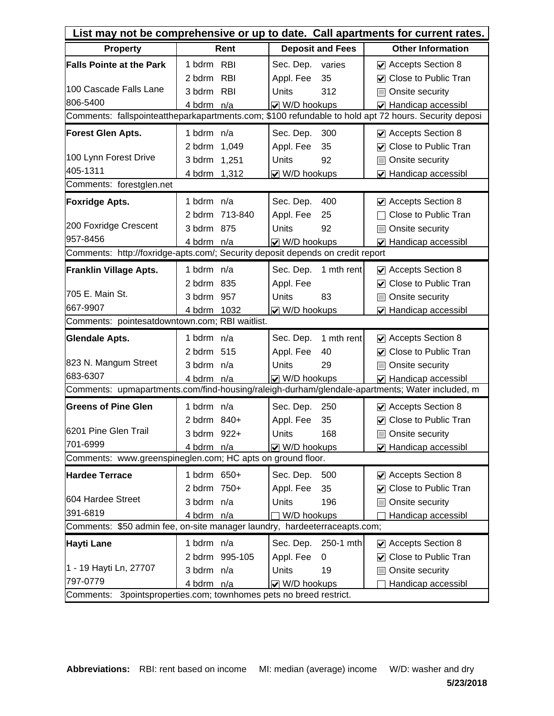| List may not be comprehensive or up to date. Call apartments for current rates.                      |                |                         |                                                                                                |  |  |  |  |  |
|------------------------------------------------------------------------------------------------------|----------------|-------------------------|------------------------------------------------------------------------------------------------|--|--|--|--|--|
| <b>Property</b>                                                                                      | Rent           | <b>Deposit and Fees</b> | <b>Other Information</b>                                                                       |  |  |  |  |  |
| <b>Falls Pointe at the Park</b>                                                                      | 1 bdrm RBI     | Sec. Dep.<br>varies     | $\vee$ Accepts Section 8                                                                       |  |  |  |  |  |
|                                                                                                      | 2 bdrm RBI     | 35<br>Appl. Fee         | <b>○</b> Close to Public Tran                                                                  |  |  |  |  |  |
| 100 Cascade Falls Lane                                                                               | 3 bdrm RBI     | 312<br><b>Units</b>     | Onsite security<br>$\Box$                                                                      |  |  |  |  |  |
| 806-5400                                                                                             | 4 bdrm n/a     | V W/D hookups           | Handicap accessibl                                                                             |  |  |  |  |  |
| Comments: fallspointeattheparkapartments.com; \$100 refundable to hold apt 72 hours. Security deposi |                |                         |                                                                                                |  |  |  |  |  |
| <b>Forest Glen Apts.</b>                                                                             | 1 bdrm n/a     | Sec. Dep.<br>300        | Accepts Section 8                                                                              |  |  |  |  |  |
|                                                                                                      | 2 bdrm 1,049   | Appl. Fee<br>35         | <b>○</b> Close to Public Tran                                                                  |  |  |  |  |  |
| 100 Lynn Forest Drive                                                                                | 3 bdrm 1,251   | Units<br>92             | Onsite security<br>H                                                                           |  |  |  |  |  |
| 405-1311                                                                                             | 4 bdrm 1,312   | ☑ W/D hookups           | ☑ Handicap accessibl                                                                           |  |  |  |  |  |
| Comments: forestglen.net                                                                             |                |                         |                                                                                                |  |  |  |  |  |
| <b>Foxridge Apts.</b>                                                                                | 1 bdrm n/a     | Sec. Dep.<br>400        | $\vee$ Accepts Section 8                                                                       |  |  |  |  |  |
|                                                                                                      | 2 bdrm 713-840 | Appl. Fee<br>25         | Close to Public Tran                                                                           |  |  |  |  |  |
| 200 Foxridge Crescent                                                                                | 3 bdrm 875     | 92<br><b>Units</b>      | Onsite security<br>H                                                                           |  |  |  |  |  |
| 957-8456                                                                                             | 4 bdrm n/a     | ☑ W/D hookups           | ☑ Handicap accessibl                                                                           |  |  |  |  |  |
| Comments: http://foxridge-apts.com/; Security deposit depends on credit report                       |                |                         |                                                                                                |  |  |  |  |  |
| Franklin Village Apts.                                                                               | 1 bdrm n/a     | Sec. Dep.<br>1 mth rent | $\vee$ Accepts Section 8                                                                       |  |  |  |  |  |
|                                                                                                      | 2 bdrm 835     | Appl. Fee               | <b>○</b> Close to Public Tran                                                                  |  |  |  |  |  |
| 705 E. Main St.                                                                                      | 3 bdrm 957     | Units<br>83             | □ Onsite security                                                                              |  |  |  |  |  |
| 667-9907                                                                                             | 4 bdrm 1032    | V W/D hookups           | ☑ Handicap accessibl                                                                           |  |  |  |  |  |
| Comments: pointesatdowntown.com; RBI waitlist.                                                       |                |                         |                                                                                                |  |  |  |  |  |
| <b>Glendale Apts.</b>                                                                                | 1 bdrm n/a     | 1 mth rent<br>Sec. Dep. | Accepts Section 8                                                                              |  |  |  |  |  |
|                                                                                                      | 2 bdrm 515     | 40<br>Appl. Fee         | $\triangledown$ Close to Public Tran                                                           |  |  |  |  |  |
| 823 N. Mangum Street                                                                                 | 3 bdrm n/a     | Units<br>29             | Onsite security<br>П                                                                           |  |  |  |  |  |
| 683-6307                                                                                             | 4 bdrm n/a     | $\vee$ W/D hookups      | ☑ Handicap accessibl                                                                           |  |  |  |  |  |
|                                                                                                      |                |                         | Comments: upmapartments.com/find-housing/raleigh-durham/glendale-apartments; Water included, m |  |  |  |  |  |
| <b>Greens of Pine Glen</b>                                                                           | 1 bdrm n/a     | Sec. Dep.<br>250        | ☑ Accepts Section 8                                                                            |  |  |  |  |  |
|                                                                                                      | 2 bdrm 840+    | Appl. Fee<br>35         | <b>○</b> Close to Public Tran                                                                  |  |  |  |  |  |
| 6201 Pine Glen Trail                                                                                 | 3 bdrm 922+    | Units<br>168            | <b>□ Onsite security</b>                                                                       |  |  |  |  |  |
| 701-6999                                                                                             | 4 bdrm n/a     | $\vee$ W/D hookups      | ☑ Handicap accessibl                                                                           |  |  |  |  |  |
| Comments: www.greenspineglen.com; HC apts on ground floor.                                           |                |                         |                                                                                                |  |  |  |  |  |
| <b>Hardee Terrace</b>                                                                                | 1 bdrm 650+    | Sec. Dep.<br>500        | ☑ Accepts Section 8                                                                            |  |  |  |  |  |
|                                                                                                      | 2 bdrm 750+    | 35<br>Appl. Fee         | <b>○</b> Close to Public Tran                                                                  |  |  |  |  |  |
| 604 Hardee Street                                                                                    | 3 bdrm n/a     | Units<br>196            | Onsite security                                                                                |  |  |  |  |  |
| 391-6819                                                                                             | 4 bdrm n/a     | W/D hookups             | Handicap accessibl                                                                             |  |  |  |  |  |
| Comments: \$50 admin fee, on-site manager laundry, hardeeterraceapts.com;                            |                |                         |                                                                                                |  |  |  |  |  |
| Hayti Lane                                                                                           | 1 bdrm n/a     | Sec. Dep.<br>250-1 mth  | $\vee$ Accepts Section 8                                                                       |  |  |  |  |  |
|                                                                                                      | 2 bdrm 995-105 | Appl. Fee<br>0          | ☑ Close to Public Tran                                                                         |  |  |  |  |  |
| 1 - 19 Hayti Ln, 27707                                                                               | 3 bdrm n/a     | Units<br>19             | Onsite security                                                                                |  |  |  |  |  |
| 797-0779                                                                                             | 4 bdrm n/a     | V W/D hookups           | Handicap accessibl                                                                             |  |  |  |  |  |
| 3pointsproperties.com; townhomes pets no breed restrict.<br>Comments:                                |                |                         |                                                                                                |  |  |  |  |  |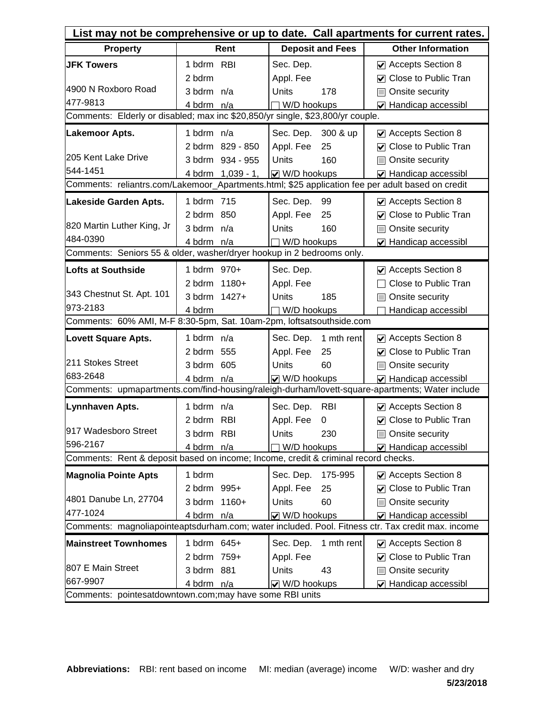| List may not be comprehensive or up to date. Call apartments for current rates.                  |                                                                                |                         |                                                                                                   |  |  |  |  |
|--------------------------------------------------------------------------------------------------|--------------------------------------------------------------------------------|-------------------------|---------------------------------------------------------------------------------------------------|--|--|--|--|
| <b>Property</b>                                                                                  | Rent                                                                           | <b>Deposit and Fees</b> | <b>Other Information</b>                                                                          |  |  |  |  |
| <b>JFK Towers</b>                                                                                | 1 bdrm RBI                                                                     | Sec. Dep.               | $\vee$ Accepts Section 8                                                                          |  |  |  |  |
|                                                                                                  | 2 bdrm                                                                         | Appl. Fee               | <b>○</b> Close to Public Tran                                                                     |  |  |  |  |
| 4900 N Roxboro Road                                                                              | 3 bdrm n/a                                                                     | Units<br>178            | Onsite security<br>E                                                                              |  |  |  |  |
| 477-9813                                                                                         | 4 bdrm n/a                                                                     | W/D hookups             | ☑ Handicap accessibl                                                                              |  |  |  |  |
|                                                                                                  | Comments: Elderly or disabled; max inc \$20,850/yr single, \$23,800/yr couple. |                         |                                                                                                   |  |  |  |  |
| <b>Lakemoor Apts.</b>                                                                            | 1 bdrm n/a                                                                     | Sec. Dep.<br>300 & up   | ☑ Accepts Section 8                                                                               |  |  |  |  |
|                                                                                                  | 2 bdrm 829 - 850                                                               | Appl. Fee<br>25         | <b>○</b> Close to Public Tran                                                                     |  |  |  |  |
| 205 Kent Lake Drive                                                                              | 3 bdrm 934 - 955                                                               | Units<br>160            | □ Onsite security                                                                                 |  |  |  |  |
| 544-1451                                                                                         | 4 bdrm 1,039 - 1,                                                              | $\sqrt{ }$ W/D hookups  | $\triangledown$ Handicap accessibl                                                                |  |  |  |  |
| Comments: reliantrs.com/Lakemoor_Apartments.html; \$25 application fee per adult based on credit |                                                                                |                         |                                                                                                   |  |  |  |  |
| Lakeside Garden Apts.                                                                            | 1 bdrm 715                                                                     | Sec. Dep.<br>99         | ☑ Accepts Section 8                                                                               |  |  |  |  |
|                                                                                                  | 2 bdrm 850                                                                     | Appl. Fee<br>25         | <b>○</b> Close to Public Tran                                                                     |  |  |  |  |
| 820 Martin Luther King, Jr                                                                       | 3 bdrm n/a                                                                     | 160<br><b>Units</b>     | Onsite security<br>$\Box$                                                                         |  |  |  |  |
| 484-0390                                                                                         | 4 bdrm n/a                                                                     | W/D hookups             | ☑ Handicap accessibl                                                                              |  |  |  |  |
| Comments: Seniors 55 & older, washer/dryer hookup in 2 bedrooms only.                            |                                                                                |                         |                                                                                                   |  |  |  |  |
| Lofts at Southside                                                                               | 1 bdrm 970+                                                                    | Sec. Dep.               | ☑ Accepts Section 8                                                                               |  |  |  |  |
|                                                                                                  | 2 bdrm 1180+                                                                   | Appl. Fee               | Close to Public Tran                                                                              |  |  |  |  |
| 343 Chestnut St. Apt. 101                                                                        | 3 bdrm 1427+                                                                   | 185<br>Units            | Onsite security<br>H                                                                              |  |  |  |  |
| 973-2183                                                                                         | 4 bdrm                                                                         | W/D hookups             | Handicap accessibl                                                                                |  |  |  |  |
| Comments: 60% AMI, M-F 8:30-5pm, Sat. 10am-2pm, loftsatsouthside.com                             |                                                                                |                         |                                                                                                   |  |  |  |  |
| <b>Lovett Square Apts.</b>                                                                       | 1 bdrm n/a                                                                     | 1 mth rent<br>Sec. Dep. | Accepts Section 8                                                                                 |  |  |  |  |
|                                                                                                  | 2 bdrm 555                                                                     | Appl. Fee<br>25         | ○ Close to Public Tran                                                                            |  |  |  |  |
| 211 Stokes Street                                                                                | 3 bdrm 605                                                                     | Units<br>60             | Onsite security<br>IП                                                                             |  |  |  |  |
| 683-2648                                                                                         | 4 bdrm n/a                                                                     | $\vee$ W/D hookups      | $\triangledown$ Handicap accessibl                                                                |  |  |  |  |
|                                                                                                  |                                                                                |                         | Comments: upmapartments.com/find-housing/raleigh-durham/lovett-square-apartments; Water include   |  |  |  |  |
| Lynnhaven Apts.                                                                                  | 1 bdrm n/a                                                                     | Sec. Dep.<br><b>RBI</b> | $\triangleright$ Accepts Section 8                                                                |  |  |  |  |
|                                                                                                  | 2 bdrm RBI                                                                     | Appl. Fee<br>0          | <b>☑</b> Close to Public Tran                                                                     |  |  |  |  |
| 917 Wadesboro Street                                                                             | 3 bdrm RBI                                                                     | Units<br>230            | □ Onsite security                                                                                 |  |  |  |  |
| 596-2167                                                                                         | 4 bdrm n/a                                                                     | W/D hookups             | ☑ Handicap accessibl                                                                              |  |  |  |  |
| Comments: Rent & deposit based on income; Income, credit & criminal record checks.               |                                                                                |                         |                                                                                                   |  |  |  |  |
| <b>Magnolia Pointe Apts</b>                                                                      | 1 bdrm                                                                         | Sec. Dep.<br>175-995    | $\vee$ Accepts Section 8                                                                          |  |  |  |  |
|                                                                                                  | 2 bdrm 995+                                                                    | Appl. Fee<br>25         | <b>○</b> Close to Public Tran                                                                     |  |  |  |  |
| 4801 Danube Ln, 27704                                                                            | 3 bdrm 1160+                                                                   | Units<br>60             | <b>□ Onsite security</b>                                                                          |  |  |  |  |
| 477-1024                                                                                         | 4 bdrm n/a                                                                     | $\vee$ W/D hookups      | $\triangledown$ Handicap accessibl                                                                |  |  |  |  |
|                                                                                                  |                                                                                |                         | Comments: magnoliapointeaptsdurham.com; water included. Pool. Fitness ctr. Tax credit max. income |  |  |  |  |
| <b>Mainstreet Townhomes</b>                                                                      | 1 bdrm 645+                                                                    | 1 mth rent<br>Sec. Dep. | $\vee$ Accepts Section 8                                                                          |  |  |  |  |
|                                                                                                  | 2 bdrm 759+                                                                    | Appl. Fee               | <b>○</b> Close to Public Tran                                                                     |  |  |  |  |
| 807 E Main Street                                                                                | 3 bdrm 881                                                                     | Units<br>43             | Onsite security<br>IП                                                                             |  |  |  |  |
| 667-9907                                                                                         | 4 bdrm n/a                                                                     | $\vee$ W/D hookups      | ☑ Handicap accessibl                                                                              |  |  |  |  |
| Comments: pointesatdowntown.com; may have some RBI units                                         |                                                                                |                         |                                                                                                   |  |  |  |  |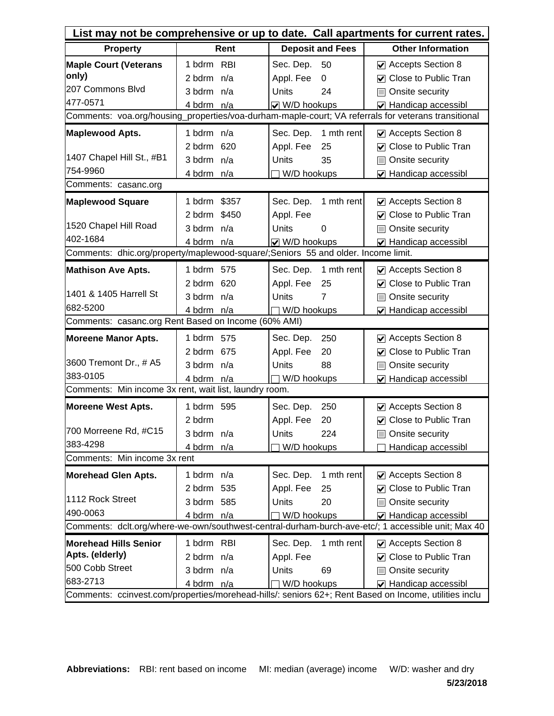| List may not be comprehensive or up to date. Call apartments for current rates.                     |                 |                          |                                                                                                       |  |  |  |  |
|-----------------------------------------------------------------------------------------------------|-----------------|--------------------------|-------------------------------------------------------------------------------------------------------|--|--|--|--|
| <b>Property</b>                                                                                     | Rent            | <b>Deposit and Fees</b>  | <b>Other Information</b>                                                                              |  |  |  |  |
| <b>Maple Court (Veterans</b>                                                                        | 1 bdrm RBI      | Sec. Dep.<br>50          | $\vee$ Accepts Section 8                                                                              |  |  |  |  |
| only)                                                                                               | 2 bdrm n/a      | Appl. Fee<br>0           | ○ Close to Public Tran                                                                                |  |  |  |  |
| 207 Commons Blvd                                                                                    | 3 bdrm n/a      | <b>Units</b><br>24       | Onsite security<br>$\Box$                                                                             |  |  |  |  |
| 477-0571                                                                                            | 4 bdrm n/a      | V W/D hookups            | ☑ Handicap accessibl                                                                                  |  |  |  |  |
| Comments: voa.org/housing_properties/voa-durham-maple-court; VA referrals for veterans transitional |                 |                          |                                                                                                       |  |  |  |  |
| <b>Maplewood Apts.</b>                                                                              | 1 bdrm n/a      | Sec. Dep.<br>1 mth rent  | ☑ Accepts Section 8                                                                                   |  |  |  |  |
|                                                                                                     | 2 bdrm 620      | Appl. Fee<br>25          | <b>○</b> Close to Public Tran                                                                         |  |  |  |  |
| 1407 Chapel Hill St., #B1                                                                           | 3 bdrm n/a      | Units<br>35              | Onsite security<br><b>In the first</b>                                                                |  |  |  |  |
| 754-9960                                                                                            | 4 bdrm n/a      | W/D hookups              | ☑ Handicap accessibl                                                                                  |  |  |  |  |
| Comments: casanc.org                                                                                |                 |                          |                                                                                                       |  |  |  |  |
| <b>Maplewood Square</b>                                                                             | \$357<br>1 bdrm | Sec. Dep.<br>1 mth rent  | $\vee$ Accepts Section 8                                                                              |  |  |  |  |
|                                                                                                     | 2 bdrm \$450    | Appl. Fee                | <b>○</b> Close to Public Tran                                                                         |  |  |  |  |
| 1520 Chapel Hill Road                                                                               | 3 bdrm n/a      | <b>Units</b><br>$\Omega$ | Onsite security<br>$\Box$                                                                             |  |  |  |  |
| 402-1684                                                                                            | 4 bdrm n/a      | ☑ W/D hookups            | ☑ Handicap accessibl                                                                                  |  |  |  |  |
| Comments: dhic.org/property/maplewood-square/;Seniors 55 and older. Income limit.                   |                 |                          |                                                                                                       |  |  |  |  |
| <b>Mathison Ave Apts.</b>                                                                           | 1 bdrm 575      | 1 mth rent<br>Sec. Dep.  | $\vee$ Accepts Section 8                                                                              |  |  |  |  |
|                                                                                                     | 2 bdrm 620      | Appl. Fee<br>25          | ○ Close to Public Tran                                                                                |  |  |  |  |
| 1401 & 1405 Harrell St                                                                              | 3 bdrm n/a      | Units<br>$\overline{7}$  | □ Onsite security                                                                                     |  |  |  |  |
| 682-5200                                                                                            | 4 bdrm n/a      | W/D hookups              | ☑ Handicap accessibl                                                                                  |  |  |  |  |
| Comments: casanc.org Rent Based on Income (60% AMI)                                                 |                 |                          |                                                                                                       |  |  |  |  |
| <b>Moreene Manor Apts.</b>                                                                          | 1 bdrm 575      | Sec. Dep.<br>250         | ☑ Accepts Section 8                                                                                   |  |  |  |  |
|                                                                                                     | 2 bdrm 675      | Appl. Fee<br>20          | ○ Close to Public Tran                                                                                |  |  |  |  |
| 3600 Tremont Dr., # A5                                                                              | 3 bdrm n/a      | Units<br>88              | Onsite security<br>H                                                                                  |  |  |  |  |
| 383-0105                                                                                            | 4 bdrm n/a      | W/D hookups              | ☑ Handicap accessibl                                                                                  |  |  |  |  |
| Comments: Min income 3x rent, wait list, laundry room.                                              |                 |                          |                                                                                                       |  |  |  |  |
| <b>Moreene West Apts.</b>                                                                           | 1 bdrm 595      | Sec. Dep.<br>250         | Accepts Section 8                                                                                     |  |  |  |  |
|                                                                                                     | 2 bdrm          | Appl. Fee<br>20          | <b>○</b> Close to Public Tran                                                                         |  |  |  |  |
| 700 Morreene Rd, #C15                                                                               | 3 bdrm n/a      | Units<br>224             | <b>□ Onsite security</b>                                                                              |  |  |  |  |
| 383-4298                                                                                            | 4 bdrm n/a      | W/D hookups              | Handicap accessibl                                                                                    |  |  |  |  |
| Comments: Min income 3x rent                                                                        |                 |                          |                                                                                                       |  |  |  |  |
| <b>Morehead Glen Apts.</b>                                                                          | 1 bdrm n/a      | 1 mth rent<br>Sec. Dep.  | ☑ Accepts Section 8                                                                                   |  |  |  |  |
|                                                                                                     | 2 bdrm 535      | Appl. Fee<br>25          | <b>○</b> Close to Public Tran                                                                         |  |  |  |  |
| 1112 Rock Street                                                                                    | 3 bdrm 585      | 20<br>Units              | Onsite security                                                                                       |  |  |  |  |
| 490-0063                                                                                            | 4 bdrm n/a      | W/D hookups              | ☑ Handicap accessibl                                                                                  |  |  |  |  |
|                                                                                                     |                 |                          | Comments: dclt.org/where-we-own/southwest-central-durham-burch-ave-etc/; 1 accessible unit; Max 40    |  |  |  |  |
| <b>Morehead Hills Senior</b>                                                                        | 1 bdrm RBI      | 1 mth rent<br>Sec. Dep.  | $\vee$ Accepts Section 8                                                                              |  |  |  |  |
| Apts. (elderly)                                                                                     | 2 bdrm n/a      | Appl. Fee                | <b>○</b> Close to Public Tran                                                                         |  |  |  |  |
| 500 Cobb Street                                                                                     | 3 bdrm n/a      | Units<br>69              | Onsite security                                                                                       |  |  |  |  |
| 683-2713                                                                                            | 4 bdrm n/a      | W/D hookups              | $\blacktriangleright$ Handicap accessibl                                                              |  |  |  |  |
|                                                                                                     |                 |                          | Comments: ccinvest.com/properties/morehead-hills/: seniors 62+; Rent Based on Income, utilities inclu |  |  |  |  |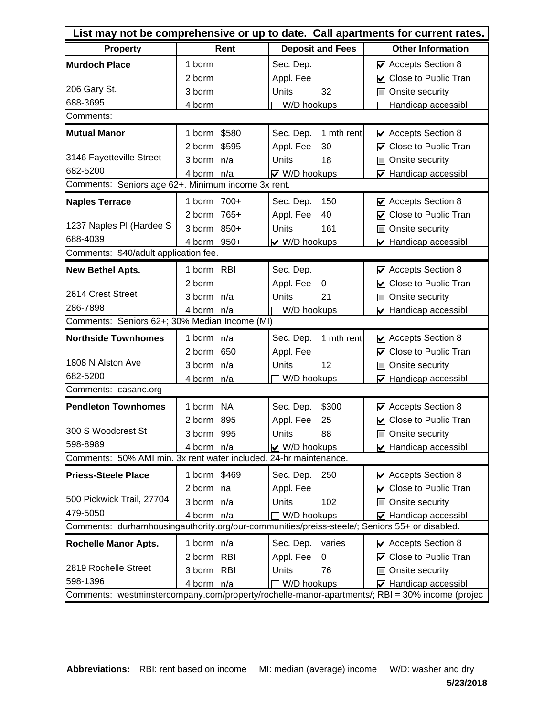| List may not be comprehensive or up to date. Call apartments for current rates.               |              |                         |                                                                                                |  |  |  |
|-----------------------------------------------------------------------------------------------|--------------|-------------------------|------------------------------------------------------------------------------------------------|--|--|--|
| <b>Property</b>                                                                               | Rent         | <b>Deposit and Fees</b> | <b>Other Information</b>                                                                       |  |  |  |
| <b>Murdoch Place</b>                                                                          | 1 bdrm       | Sec. Dep.               | ☑ Accepts Section 8                                                                            |  |  |  |
|                                                                                               | 2 bdrm       | Appl. Fee               | <b>○</b> Close to Public Tran                                                                  |  |  |  |
| 206 Gary St.                                                                                  | 3 bdrm       | <b>Units</b><br>32      | Onsite security<br>$\Box$                                                                      |  |  |  |
| 688-3695                                                                                      | 4 bdrm       | W/D hookups             | Handicap accessibl                                                                             |  |  |  |
| Comments:                                                                                     |              |                         |                                                                                                |  |  |  |
| <b>Mutual Manor</b>                                                                           | 1 bdrm \$580 | Sec. Dep.<br>1 mth rent | ☑ Accepts Section 8                                                                            |  |  |  |
|                                                                                               | 2 bdrm \$595 | Appl. Fee<br>30         | <b>○</b> Close to Public Tran                                                                  |  |  |  |
| 3146 Fayetteville Street                                                                      | 3 bdrm n/a   | Units<br>18             | □ Onsite security                                                                              |  |  |  |
| 682-5200                                                                                      | 4 bdrm n/a   | ☑ W/D hookups           | ☑ Handicap accessibl                                                                           |  |  |  |
| Comments: Seniors age 62+. Minimum income 3x rent.                                            |              |                         |                                                                                                |  |  |  |
| <b>Naples Terrace</b>                                                                         | 1 bdrm 700+  | Sec. Dep.<br>150        | ☑ Accepts Section 8                                                                            |  |  |  |
|                                                                                               | 2 bdrm 765+  | Appl. Fee<br>40         | <b>○</b> Close to Public Tran                                                                  |  |  |  |
| 1237 Naples PI (Hardee S                                                                      | 3 bdrm 850+  | Units<br>161            | Onsite security<br>H                                                                           |  |  |  |
| 688-4039                                                                                      | 4 bdrm 950+  | V W/D hookups           | ☑ Handicap accessibl                                                                           |  |  |  |
| Comments: \$40/adult application fee.                                                         |              |                         |                                                                                                |  |  |  |
| <b>New Bethel Apts.</b>                                                                       | 1 bdrm RBI   | Sec. Dep.               | $\vee$ Accepts Section 8                                                                       |  |  |  |
|                                                                                               | 2 bdrm       | Appl. Fee<br>0          | <b>○</b> Close to Public Tran                                                                  |  |  |  |
| 2614 Crest Street                                                                             | 3 bdrm n/a   | Units<br>21             | Onsite security<br>H                                                                           |  |  |  |
| 286-7898                                                                                      | 4 bdrm n/a   | W/D hookups             | ☑ Handicap accessibl                                                                           |  |  |  |
| Comments: Seniors 62+; 30% Median Income (MI)                                                 |              |                         |                                                                                                |  |  |  |
| <b>Northside Townhomes</b>                                                                    | 1 bdrm n/a   | Sec. Dep.<br>1 mth rent | ☑ Accepts Section 8                                                                            |  |  |  |
|                                                                                               | 2 bdrm 650   | Appl. Fee               | ☑ Close to Public Tran                                                                         |  |  |  |
| 1808 N Alston Ave                                                                             | 3 bdrm n/a   | Units<br>12             | Onsite security<br>H                                                                           |  |  |  |
| 682-5200                                                                                      | 4 bdrm n/a   | W/D hookups             | ☑ Handicap accessibl                                                                           |  |  |  |
| Comments: casanc.org                                                                          |              |                         |                                                                                                |  |  |  |
| <b>Pendleton Townhomes</b>                                                                    | 1 bdrm NA    | Sec. Dep.<br>\$300      | Accepts Section 8                                                                              |  |  |  |
|                                                                                               | 2 bdrm 895   | Appl. Fee<br>25         | ☑ Close to Public Tran                                                                         |  |  |  |
| 300 S Woodcrest St                                                                            | 3 bdrm 995   | Units<br>88             | Onsite security                                                                                |  |  |  |
| 598-8989                                                                                      | 4 bdrm n/a   | V W/D hookups           | ☑ Handicap accessibl                                                                           |  |  |  |
| Comments: 50% AMI min. 3x rent water included. 24-hr maintenance.                             |              |                         |                                                                                                |  |  |  |
| <b>Priess-Steele Place</b>                                                                    | 1 bdrm \$469 | Sec. Dep.<br>250        | Accepts Section 8                                                                              |  |  |  |
|                                                                                               | 2 bdrm na    | Appl. Fee               | <b>○</b> Close to Public Tran                                                                  |  |  |  |
| 500 Pickwick Trail, 27704                                                                     | 3 bdrm n/a   | 102<br>Units            | □ Onsite security                                                                              |  |  |  |
| 479-5050                                                                                      | 4 bdrm n/a   | W/D hookups             | $\triangledown$ Handicap accessibl                                                             |  |  |  |
| Comments: durhamhousingauthority.org/our-communities/preiss-steele/; Seniors 55+ or disabled. |              |                         |                                                                                                |  |  |  |
| <b>Rochelle Manor Apts.</b>                                                                   | 1 bdrm n/a   | Sec. Dep.<br>varies     | $\vee$ Accepts Section 8                                                                       |  |  |  |
|                                                                                               | 2 bdrm RBI   | Appl. Fee<br>0          | ☑ Close to Public Tran                                                                         |  |  |  |
| 2819 Rochelle Street                                                                          | 3 bdrm RBI   | Units<br>76             | Onsite security<br>IП                                                                          |  |  |  |
| 598-1396                                                                                      | 4 bdrm n/a   | W/D hookups             | ☑ Handicap accessibl                                                                           |  |  |  |
|                                                                                               |              |                         | Comments: westminstercompany.com/property/rochelle-manor-apartments/; RBI = 30% income (projec |  |  |  |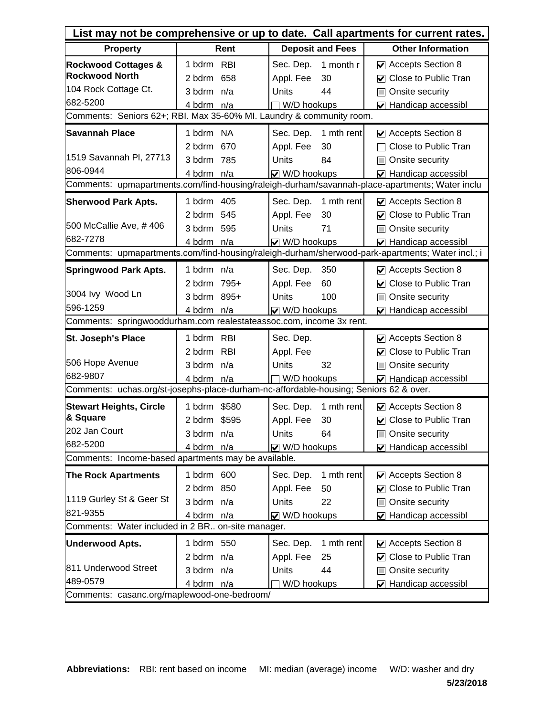| List may not be comprehensive or up to date. Call apartments for current rates.       |                                                                      |                         |                                                                                                  |  |  |  |  |  |  |
|---------------------------------------------------------------------------------------|----------------------------------------------------------------------|-------------------------|--------------------------------------------------------------------------------------------------|--|--|--|--|--|--|
| <b>Property</b>                                                                       | Rent                                                                 | <b>Deposit and Fees</b> | <b>Other Information</b>                                                                         |  |  |  |  |  |  |
| <b>Rockwood Cottages &amp;</b>                                                        | 1 bdrm RBI                                                           | 1 month r<br>Sec. Dep.  | $\vee$ Accepts Section 8                                                                         |  |  |  |  |  |  |
| <b>Rockwood North</b>                                                                 | 2 bdrm 658                                                           | Appl. Fee<br>30         | <b>○</b> Close to Public Tran                                                                    |  |  |  |  |  |  |
| 104 Rock Cottage Ct.                                                                  | 3 bdrm n/a                                                           | <b>Units</b><br>44      | Onsite security<br>$\Box$                                                                        |  |  |  |  |  |  |
| 682-5200                                                                              | 4 bdrm n/a                                                           | W/D hookups             | ☑ Handicap accessibl                                                                             |  |  |  |  |  |  |
|                                                                                       | Comments: Seniors 62+; RBI. Max 35-60% MI. Laundry & community room. |                         |                                                                                                  |  |  |  |  |  |  |
| <b>Savannah Place</b>                                                                 | 1 bdrm NA                                                            | Sec. Dep.<br>1 mth rent | ☑ Accepts Section 8                                                                              |  |  |  |  |  |  |
|                                                                                       | 2 bdrm 670                                                           | Appl. Fee<br>30         | Close to Public Tran                                                                             |  |  |  |  |  |  |
| 1519 Savannah Pl, 27713                                                               | 3 bdrm 785                                                           | Units<br>84             | Onsite security                                                                                  |  |  |  |  |  |  |
| 806-0944                                                                              | 4 bdrm n/a                                                           | V W/D hookups           | $\triangledown$ Handicap accessibl                                                               |  |  |  |  |  |  |
|                                                                                       |                                                                      |                         | Comments: upmapartments.com/find-housing/raleigh-durham/savannah-place-apartments; Water inclu   |  |  |  |  |  |  |
| <b>Sherwood Park Apts.</b>                                                            | 1 bdrm 405                                                           | Sec. Dep.<br>1 mth rent | $\vee$ Accepts Section 8                                                                         |  |  |  |  |  |  |
|                                                                                       | 2 bdrm 545                                                           | Appl. Fee<br>30         | <b>○</b> Close to Public Tran                                                                    |  |  |  |  |  |  |
| 500 McCallie Ave, #406                                                                | 3 bdrm 595                                                           | 71<br><b>Units</b>      | Onsite security<br>$\Box$                                                                        |  |  |  |  |  |  |
| 682-7278                                                                              | 4 bdrm n/a                                                           | ☑ W/D hookups           | $\triangleright$ Handicap accessibl                                                              |  |  |  |  |  |  |
|                                                                                       |                                                                      |                         | Comments: upmapartments.com/find-housing/raleigh-durham/sherwood-park-apartments; Water incl.; i |  |  |  |  |  |  |
| <b>Springwood Park Apts.</b>                                                          | 1 bdrm n/a                                                           | Sec. Dep.<br>350        | $\triangledown$ Accepts Section 8                                                                |  |  |  |  |  |  |
|                                                                                       | 2 bdrm 795+                                                          | Appl. Fee<br>60         | <b>○</b> Close to Public Tran                                                                    |  |  |  |  |  |  |
| 3004 lvy Wood Ln                                                                      | 3 bdrm 895+                                                          | Units<br>100            | □ Onsite security                                                                                |  |  |  |  |  |  |
| 596-1259                                                                              | 4 bdrm n/a                                                           | $\vee$ W/D hookups      | ☑ Handicap accessibl                                                                             |  |  |  |  |  |  |
| Comments: springwooddurham.com realestateassoc.com, income 3x rent.                   |                                                                      |                         |                                                                                                  |  |  |  |  |  |  |
| St. Joseph's Place                                                                    | 1 bdrm RBI                                                           | Sec. Dep.               | Accepts Section 8                                                                                |  |  |  |  |  |  |
|                                                                                       | 2 bdrm RBI                                                           | Appl. Fee               | ○ Close to Public Tran                                                                           |  |  |  |  |  |  |
| 506 Hope Avenue                                                                       | 3 bdrm n/a                                                           | Units<br>32             | Onsite security<br>H                                                                             |  |  |  |  |  |  |
| 682-9807                                                                              | 4 bdrm n/a                                                           | W/D hookups             | $\nabla$ Handicap accessibl                                                                      |  |  |  |  |  |  |
| Comments: uchas.org/st-josephs-place-durham-nc-affordable-housing; Seniors 62 & over. |                                                                      |                         |                                                                                                  |  |  |  |  |  |  |
| <b>Stewart Heights, Circle</b>                                                        | 1 bdrm \$580                                                         | Sec. Dep.<br>1 mth rent | $\vee$ Accepts Section 8                                                                         |  |  |  |  |  |  |
| & Square                                                                              | 2 bdrm \$595                                                         | Appl. Fee<br>30         | <b>☑</b> Close to Public Tran                                                                    |  |  |  |  |  |  |
| 202 Jan Court                                                                         | 3 bdrm n/a                                                           | Units<br>64             | Onsite security                                                                                  |  |  |  |  |  |  |
| 682-5200                                                                              | 4 bdrm n/a                                                           | V W/D hookups           | ☑ Handicap accessibl                                                                             |  |  |  |  |  |  |
| Comments: Income-based apartments may be available.                                   |                                                                      |                         |                                                                                                  |  |  |  |  |  |  |
| <b>The Rock Apartments</b>                                                            | 1 bdrm 600                                                           | 1 mth rent<br>Sec. Dep. | ☑ Accepts Section 8                                                                              |  |  |  |  |  |  |
|                                                                                       | 2 bdrm 850                                                           | 50<br>Appl. Fee         | ☑ Close to Public Tran                                                                           |  |  |  |  |  |  |
| 1119 Gurley St & Geer St                                                              | 3 bdrm n/a                                                           | Units<br>22             | □ Onsite security                                                                                |  |  |  |  |  |  |
| 821-9355                                                                              | 4 bdrm n/a                                                           | V W/D hookups           | ☑ Handicap accessibl                                                                             |  |  |  |  |  |  |
| Comments: Water included in 2 BR on-site manager.                                     |                                                                      |                         |                                                                                                  |  |  |  |  |  |  |
| <b>Underwood Apts.</b>                                                                | 1 bdrm 550                                                           | 1 mth rent<br>Sec. Dep. | $\vee$ Accepts Section 8                                                                         |  |  |  |  |  |  |
|                                                                                       | 2 bdrm n/a                                                           | Appl. Fee<br>25         | ☑ Close to Public Tran                                                                           |  |  |  |  |  |  |
| 811 Underwood Street                                                                  | 3 bdrm n/a                                                           | Units<br>44             | Onsite security<br>H                                                                             |  |  |  |  |  |  |
| 489-0579                                                                              | 4 bdrm n/a                                                           | W/D hookups             | ☑ Handicap accessibl                                                                             |  |  |  |  |  |  |
| Comments: casanc.org/maplewood-one-bedroom/                                           |                                                                      |                         |                                                                                                  |  |  |  |  |  |  |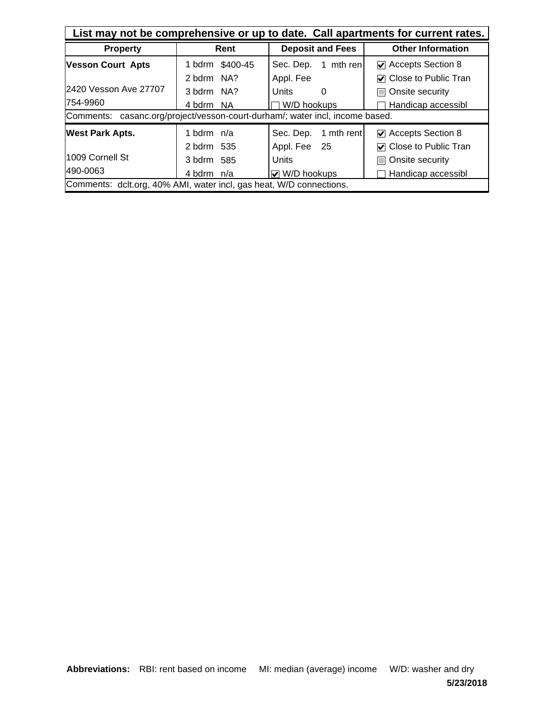| List may not be comprehensive or up to date. Call apartments for current rates. |                                 |                               |                                      |  |  |
|---------------------------------------------------------------------------------|---------------------------------|-------------------------------|--------------------------------------|--|--|
| <b>Property</b>                                                                 | <b>Deposit and Fees</b><br>Rent |                               | <b>Other Information</b>             |  |  |
| <b>Vesson Court Apts</b>                                                        | 1 bdrm \$400-45                 | Sec. Dep.<br>1 mth ren        | $\triangleright$ Accepts Section 8   |  |  |
|                                                                                 | 2 bdrm NA?                      | Appl. Fee                     | $\triangledown$ Close to Public Tran |  |  |
| 2420 Vesson Ave 27707                                                           | 3 bdrm NA?                      | Units<br>0                    | Onsite security<br>H                 |  |  |
| 754-9960                                                                        | 4 bdrm NA                       | W/D hookups                   | Handicap accessibl                   |  |  |
| Comments: casanc.org/project/vesson-court-durham/; water incl, income based.    |                                 |                               |                                      |  |  |
| <b>West Park Apts.</b>                                                          | 1 bdrm $n/a$                    | Sec. Dep.<br>1 mth rent       | $\triangleright$ Accepts Section 8   |  |  |
|                                                                                 | 2 bdrm 535                      | Appl. Fee 25                  | $\nabla$ Close to Public Tran        |  |  |
| l1009 Cornell St                                                                | 3 bdrm 585                      | Units                         | □ Onsite security                    |  |  |
| 490-0063                                                                        | 4 bdrm n/a                      | $\overline{\vee}$ W/D hookups | Handicap accessibl                   |  |  |
| Comments: dclt.org, 40% AMI, water incl, gas heat, W/D connections.             |                                 |                               |                                      |  |  |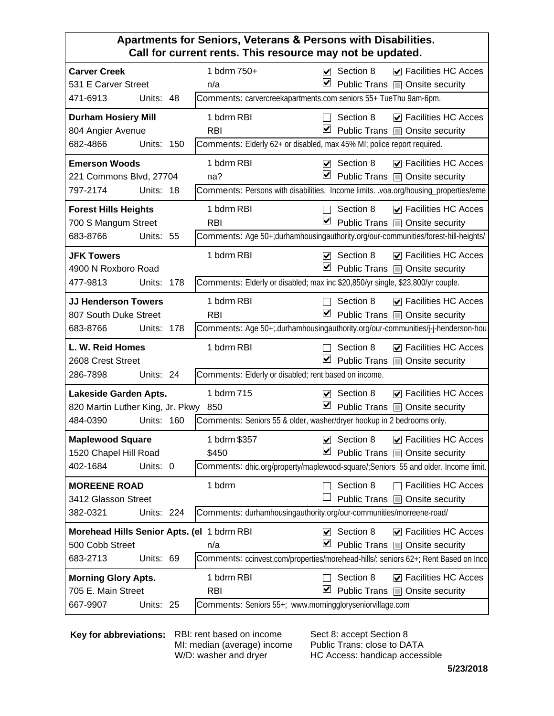#### **Apartments for Seniors, Veterans & Persons with Disabilities. Call for current rents. This resource may not be updated.**

| <b>Carver Creek</b>                        |            |     | 1 bdrm 750+                                                                        |                         | $\triangledown$ Section 8 | $\triangledown$ Facilities HC Acces   |
|--------------------------------------------|------------|-----|------------------------------------------------------------------------------------|-------------------------|---------------------------|---------------------------------------|
| 531 E Carver Street                        |            |     | n/a                                                                                | ⊻                       |                           | Public Trans   Onsite security        |
| 471-6913                                   | Units: 48  |     | Comments: carvercreekapartments.com seniors 55+ TueThu 9am-6pm.                    |                         |                           |                                       |
| <b>Durham Hosiery Mill</b>                 |            |     | 1 bdrm RBI                                                                         |                         | Section 8                 | $\triangledown$ Facilities HC Acces   |
| 804 Angier Avenue                          |            |     | <b>RBI</b>                                                                         | ⊻                       |                           | Public Trans <b>D</b> Onsite security |
| 682-4866                                   | Units: 150 |     | Comments: Elderly 62+ or disabled, max 45% MI; police report required.             |                         |                           |                                       |
| <b>Emerson Woods</b>                       |            |     | 1 bdrm RBI                                                                         |                         | $\nabla$ Section 8        | $\nabla$ Facilities HC Acces          |
| 221 Commons Blvd, 27704                    |            |     | na?                                                                                | ⊻                       |                           | Public Trans   Onsite security        |
| 797-2174                                   | Units: 18  |     | Comments: Persons with disabilities. Income limits. voa.org/housing_properties/eme |                         |                           |                                       |
| <b>Forest Hills Heights</b>                |            |     | 1 bdrm RBI                                                                         |                         | Section 8                 | $\nabla$ Facilities HC Acces          |
| 700 S Mangum Street                        |            |     | <b>RBI</b>                                                                         | ⊻                       |                           | Public Trans   Onsite security        |
| 683-8766                                   | Units: 55  |     | Comments: Age 50+;durhamhousingauthority.org/our-communities/forest-hill-heights/  |                         |                           |                                       |
| <b>JFK Towers</b>                          |            |     | 1 bdrm RBI                                                                         | $\overline{\mathbf{v}}$ | Section 8                 | $\nabla$ Facilities HC Acces          |
| 4900 N Roxboro Road                        |            |     |                                                                                    | ⊻                       |                           | Public Trans   Onsite security        |
| 477-9813                                   | Units:     | 178 | Comments: Elderly or disabled; max inc \$20,850/yr single, \$23,800/yr couple.     |                         |                           |                                       |
| <b>JJ Henderson Towers</b>                 |            |     | 1 bdrm RBI                                                                         |                         | Section 8                 | $\nabla$ Facilities HC Acces          |
| 807 South Duke Street                      |            |     | <b>RBI</b>                                                                         | ⊻                       |                           | Public Trans <b>D</b> Onsite security |
| 683-8766                                   | Units: 178 |     | Comments: Age 50+; durhamhousingauthority.org/our-communities/j-j-henderson-hou    |                         |                           |                                       |
|                                            |            |     |                                                                                    |                         |                           |                                       |
| L. W. Reid Homes                           |            |     | 1 bdrm RBI                                                                         |                         | Section 8                 | $\triangledown$ Facilities HC Acces   |
| 2608 Crest Street                          |            |     |                                                                                    | V                       |                           | Public Trans @ Onsite security        |
| 286-7898                                   | Units: 24  |     | Comments: Elderly or disabled; rent based on income.                               |                         |                           |                                       |
| Lakeside Garden Apts.                      |            |     | 1 bdrm 715                                                                         | ⊽                       | Section 8                 | $\triangleright$ Facilities HC Acces  |
| 820 Martin Luther King, Jr. Pkwy 850       |            |     |                                                                                    | ⊻                       |                           | Public Trans □ Onsite security        |
| 484-0390                                   | Units: 160 |     | Comments: Seniors 55 & older, washer/dryer hookup in 2 bedrooms only.              |                         |                           |                                       |
| <b>Maplewood Square</b>                    |            |     | 1 bdrm \$357                                                                       | $\blacktriangledown$    | Section 8                 | $\triangledown$ Facilities HC Acces   |
| 1520 Chapel Hill Road                      |            |     | \$450                                                                              | ⊻                       |                           | Public Trans   Onsite security        |
| 402-1684                                   | Units: 0   |     | Comments: dhic.org/property/maplewood-square/;Seniors 55 and older. Income limit.  |                         |                           |                                       |
| <b>MOREENE ROAD</b>                        |            |     | 1 bdrm                                                                             |                         | Section 8                 | <b>Facilities HC Acces</b>            |
| 3412 Glasson Street                        |            |     |                                                                                    |                         |                           | Public Trans @ Onsite security        |
| 382-0321                                   | Units: 224 |     | Comments: durhamhousingauthority.org/our-communities/morreene-road/                |                         |                           |                                       |
| Morehead Hills Senior Apts. (el 1 bdrm RBI |            |     |                                                                                    | $\blacktriangledown$    | Section 8                 | $\triangleright$ Facilities HC Acces  |
| 500 Cobb Street                            |            |     | n/a                                                                                | ⊻                       |                           | Public Trans   Onsite security        |
| 683-2713                                   | Units: 69  |     | Comments: ccinvest.com/properties/morehead-hills/: seniors 62+; Rent Based on Inco |                         |                           |                                       |
| <b>Morning Glory Apts.</b>                 |            |     | 1 bdrm RBI                                                                         |                         | Section 8                 | $\triangledown$ Facilities HC Acces   |
| 705 E. Main Street                         |            |     | <b>RBI</b>                                                                         | M                       |                           | Public Trans @ Onsite security        |

**Key for abbreviations:** RBI: rent based on income

MI: median (average) income W/D: washer and dryer

Sect 8: accept Section 8 Public Trans: close to DATA HC Access: handicap accessible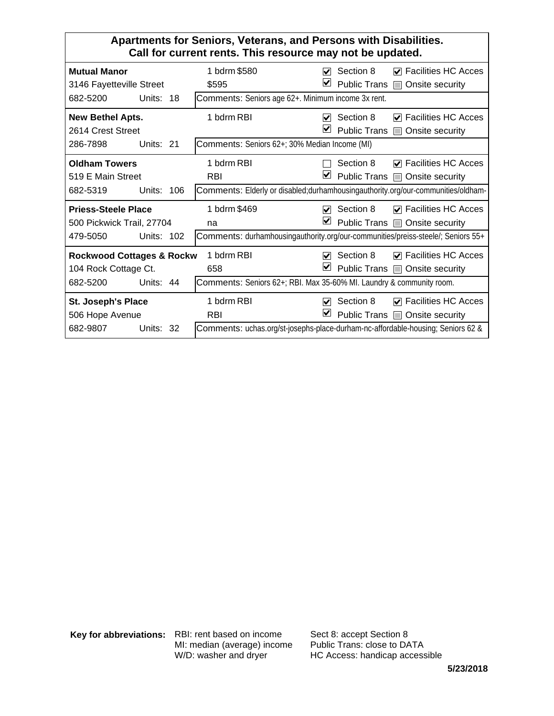#### **Apartments for Seniors, Veterans, and Persons with Disabilities. Call for current rents. This resource may not be updated.**

| <b>Mutual Manor</b><br>3146 Fayetteville Street                     |            | 1 bdrm \$580<br>\$595                                                                                  | ✓<br>⊻                    | Section 8<br><b>Public Trans</b> | $\triangledown$ Facilities HC Acces<br>□ Onsite security               |
|---------------------------------------------------------------------|------------|--------------------------------------------------------------------------------------------------------|---------------------------|----------------------------------|------------------------------------------------------------------------|
| 682-5200<br>Units: 18                                               |            | Comments: Seniors age 62+. Minimum income 3x rent.                                                     |                           |                                  |                                                                        |
| New Bethel Apts.<br>2614 Crest Street                               |            | 1 bdrm RBI                                                                                             | M<br>M                    | Section 8<br><b>Public Trans</b> | $\triangledown$ Facilities HC Acces<br>□ Onsite security               |
| 286-7898<br>Units: 21                                               |            | Comments: Seniors 62+; 30% Median Income (MI)                                                          |                           |                                  |                                                                        |
| <b>Oldham Towers</b><br>519 E Main Street                           |            | 1 bdrm RBI<br><b>RBI</b>                                                                               | ⊻                         | Section 8                        | $\triangledown$ Facilities HC Acces<br>Public Trans □ Onsite security  |
| 682-5319                                                            | Units: 106 | Comments: Elderly or disabled; durhamhousing authority.org/our-communities/oldham-                     |                           |                                  |                                                                        |
| <b>Priess-Steele Place</b><br>500 Pickwick Trail, 27704<br>479-5050 | Units: 102 | 1 bdrm \$469<br>na<br>Comments: durhamhousingauthority.org/our-communities/preiss-steele/; Seniors 55+ | $\blacktriangledown$<br>M | Section 8                        | $\nabla$ Facilities HC Acces<br>Public Trans □ Onsite security         |
| <b>Rockwood Cottages &amp; Rockw</b><br>104 Rock Cottage Ct.        |            | 1 bdrm RBI<br>658                                                                                      | $\blacktriangledown$<br>⊻ | Section 8                        | $\nabla$ Facilities HC Acces<br>Public Trans □ Onsite security         |
| 682-5200<br>Units: 44                                               |            | Comments: Seniors 62+; RBI. Max 35-60% MI. Laundry & community room.                                   |                           |                                  |                                                                        |
| St. Joseph's Place<br>506 Hope Avenue                               |            | 1 bdrm RBI<br><b>RBI</b>                                                                               | $\blacktriangledown$<br>⊻ | Section 8                        | $\triangleright$ Facilities HC Acces<br>Public Trans ■ Onsite security |
| 682-9807                                                            | Units: 32  | Comments: uchas.org/st-josephs-place-durham-nc-affordable-housing; Seniors 62 &                        |                           |                                  |                                                                        |

**Key for abbreviations:** RBI: rent based on income MI: median (average) income W/D: washer and dryer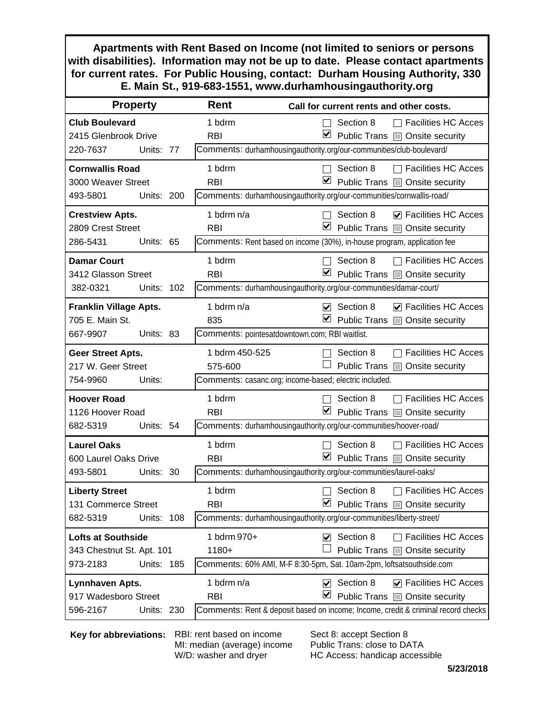**Apartments with Rent Based on Income (not limited to seniors or persons with disabilities). Information may not be up to date. Please contact apartments for current rates. For Public Housing, contact: Durham Housing Authority, 330 E. Main St., 919-683-1551, www.durhamhousingauthority.org**

| Rent<br>Call for current rents and other costs.                      |                                                                                   |  |
|----------------------------------------------------------------------|-----------------------------------------------------------------------------------|--|
| 1 bdrm                                                               | $\Box$ Facilities HC Acces<br>Section 8                                           |  |
| <b>RBI</b>                                                           | ⊻<br>Public Trans <b>D</b> Onsite security                                        |  |
| Comments: durhamhousingauthority.org/our-communities/club-boulevard/ |                                                                                   |  |
| 1 bdrm                                                               | Section 8<br><b>Facilities HC Acces</b>                                           |  |
| <b>RBI</b>                                                           | ⊻<br>Public Trans   Onsite security                                               |  |
|                                                                      | Comments: durhamhousingauthority.org/our-communities/cornwallis-road/             |  |
| 1 bdrm n/a                                                           | Section 8<br>$\nabla$ Facilities HC Acces                                         |  |
| <b>RBI</b>                                                           | $\blacksquare$ Public Trans $\blacksquare$ Onsite security                        |  |
|                                                                      | Comments: Rent based on income (30%), in-house program, application fee           |  |
| 1 bdrm                                                               | <b>Facilities HC Acces</b><br>Section 8                                           |  |
| <b>RBI</b>                                                           | M<br>Public Trans ■ Onsite security                                               |  |
|                                                                      | Comments: durhamhousingauthority.org/our-communities/damar-court/                 |  |
| 1 bdrm n/a                                                           | $\triangledown$ Section 8<br>$\triangledown$ Facilities HC Acces                  |  |
| 835                                                                  | ⊻<br>Public Trans @ Onsite security                                               |  |
|                                                                      | Comments: pointesatdowntown.com; RBI waitlist.                                    |  |
| 1 bdrm 450-525                                                       | Section 8<br><b>Facilities HC Acces</b>                                           |  |
| 575-600                                                              | Public Trans<br>Onsite security                                                   |  |
|                                                                      | Comments: casanc.org; income-based; electric included.                            |  |
| 1 bdrm                                                               | <b>Facilities HC Acces</b><br>Section 8                                           |  |
| <b>RBI</b>                                                           | ⊻<br>Public Trans   Onsite security                                               |  |
|                                                                      | Comments: durhamhousingauthority.org/our-communities/hoover-road/                 |  |
| 1 bdrm                                                               | <b>Facilities HC Acces</b><br>Section 8                                           |  |
| <b>RBI</b>                                                           | ☑<br>Public Trans   Onsite security                                               |  |
|                                                                      | Comments: durhamhousingauthority.org/our-communities/laurel-oaks/                 |  |
| 1 bdrm                                                               | Section 8<br><b>Facilities HC Acces</b>                                           |  |
| <b>RBI</b>                                                           | M<br>Public Trans   Onsite security                                               |  |
|                                                                      | Comments: durhamhousingauthority.org/our-communities/liberty-street/              |  |
| 1 bdrm 970+                                                          | Section 8<br><b>Facilities HC Acces</b><br>V                                      |  |
| 1180+                                                                | Public Trans<br>Onsite security                                                   |  |
|                                                                      | Comments: 60% AMI, M-F 8:30-5pm, Sat. 10am-2pm, loftsatsouthside.com              |  |
| 1 bdrm n/a                                                           | Section 8<br>$\triangleright$ Facilities HC Acces<br>$\blacktriangleright$        |  |
| <b>RBI</b>                                                           | M<br>Public Trans @ Onsite security                                               |  |
|                                                                      | Comments: Rent & deposit based on income; Income, credit & criminal record checks |  |
|                                                                      |                                                                                   |  |

**Key for abbreviations:** RBI: rent based on income

MI: median (average) income W/D: washer and dryer

Sect 8: accept Section 8 Public Trans: close to DATA HC Access: handicap accessible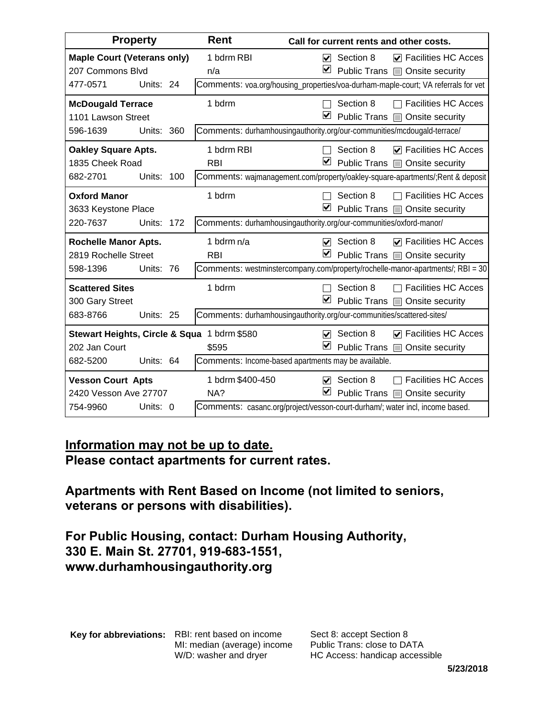| <b>Property</b>                                                                       | <b>Rent</b><br>Call for current rents and other costs. |                                                                                                                                                                                               |
|---------------------------------------------------------------------------------------|--------------------------------------------------------|-----------------------------------------------------------------------------------------------------------------------------------------------------------------------------------------------|
| <b>Maple Court (Veterans only)</b><br>207 Commons Blvd<br>Units: 24<br>477-0571       | 1 bdrm RBI<br>n/a                                      | <b>▽</b> Facilities HC Acces<br>Section 8<br>$\blacktriangledown$<br>⊻<br>Public Trans @ Onsite security<br>Comments: voa.org/housing_properties/voa-durham-maple-court; VA referrals for vet |
| <b>McDougald Terrace</b><br>1101 Lawson Street<br>596-1639<br>Units: 360              | 1 bdrm                                                 | Section 8<br><b>Facilities HC Acces</b><br>$\mathbf{I}$<br>⊻<br>Public Trans   Onsite security<br>Comments: durhamhousingauthority.org/our-communities/mcdougald-terrace/                     |
| <b>Oakley Square Apts.</b><br>1835 Cheek Road<br>682-2701<br>Units:<br>100            | 1 bdrm RBI<br><b>RBI</b>                               | Section 8<br>$\triangledown$ Facilities HC Acces<br>⊻<br>Public Trans   Onsite security<br>Comments: wajmanagement.com/property/oakley-square-apartments/; Rent & deposit                     |
| <b>Oxford Manor</b><br>3633 Keystone Place<br>220-7637<br>Units: 172                  | 1 bdrm                                                 | Section 8<br>$\Box$ Facilities HC Acces<br>⊻<br>Public Trans □ Onsite security<br>Comments: durhamhousingauthority.org/our-communities/oxford-manor/                                          |
| <b>Rochelle Manor Apts.</b><br>2819 Rochelle Street<br>598-1396<br>Units: 76          | 1 bdrm n/a<br><b>RBI</b>                               | Section 8<br>$\nabla$ Facilities HC Acces<br>$\overline{\mathbf{v}}$<br>⊻<br>Public Trans   Onsite security<br>Comments: westminstercompany.com/property/rochelle-manor-apartments/; RBI = 30 |
| <b>Scattered Sites</b><br>300 Gary Street<br>683-8766<br>Units: 25                    | 1 bdrm                                                 | <b>Facilities HC Acces</b><br>Section 8<br>⊻<br>Public Trans ■ Onsite security<br>Comments: durhamhousingauthority.org/our-communities/scattered-sites/                                       |
| Stewart Heights, Circle & Squa 1 bdrm \$580<br>202 Jan Court<br>682-5200<br>Units: 64 | \$595                                                  | <b>V</b> Facilities HC Acces<br>Section 8<br>$\overline{\mathbf{v}}$<br>$\vert\!\mathbf{v}\vert$<br>Public Trans @ Onsite security<br>Comments: Income-based apartments may be available.     |
| <b>Vesson Court Apts</b><br>2420 Vesson Ave 27707<br>Units: 0<br>754-9960             | 1 bdrm \$400-450<br>NA?                                | Section 8<br><b>Facilities HC Acces</b><br>$\blacktriangledown$<br>⊻<br>Public Trans <b>D</b> Onsite security<br>Comments: casanc.org/project/vesson-court-durham/; water incl, income based. |

### **Information may not be up to date. Please contact apartments for current rates.**

**Apartments with Rent Based on Income (not limited to seniors, veterans or persons with disabilities).** 

**For Public Housing, contact: Durham Housing Authority, 330 E. Main St. 27701, 919-683-1551, www.durhamhousingauthority.org**

**Key for abbreviations:** RBI: rent based on income MI: median (average) income W/D: washer and dryer

Sect 8: accept Section 8 Public Trans: close to DATA HC Access: handicap accessible